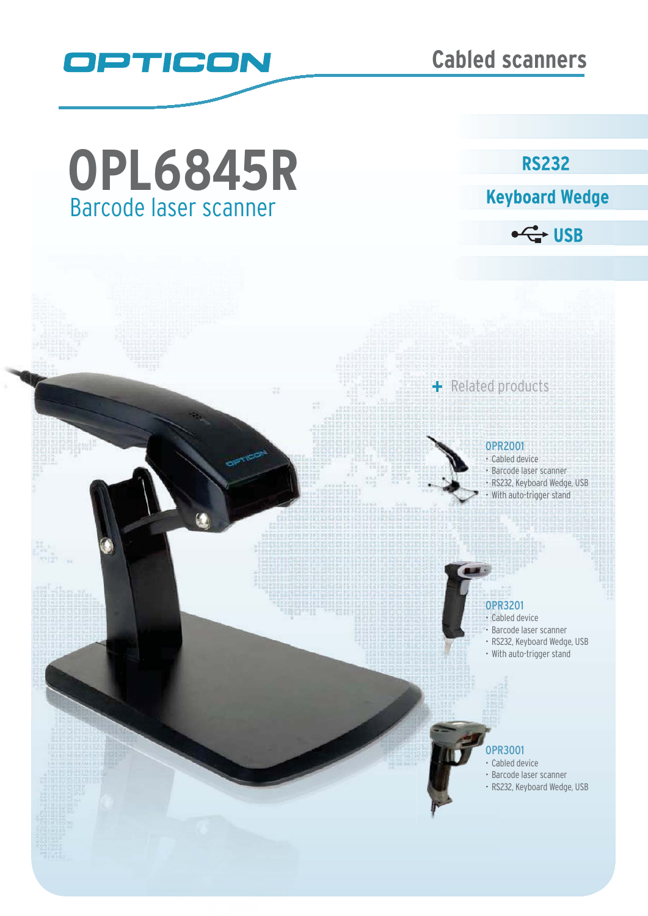

# Barcode laser scanner **OPL6845R**

**RS232** 



 $\leftarrow$  USB

### OPR2001

+ Related products

Cabled device • Barcode laser scanner RS232, Keyboard Wedge, USB With auto-trigger stand

## OPR3201 OPR3

- Cabled device Cabl
- Barcode laser scanner
- RS232, Keyboard Wedge, USB RS23
- With auto-trigger stand

#### OPR3001 OP

- Cabled device Ca
- Barcode laser scanner
- RS232, Keyboard Wedge, USB